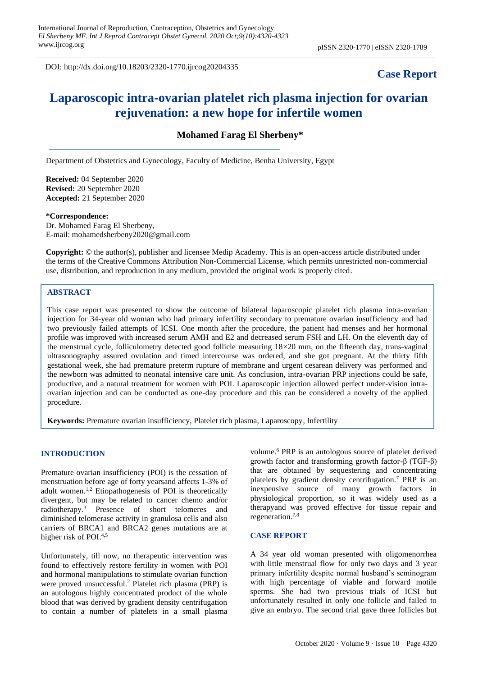DOI: http://dx.doi.org/10.18203/2320-1770.ijrcog20204335

# **Case Report**

# **Laparoscopic intra-ovarian platelet rich plasma injection for ovarian rejuvenation: a new hope for infertile women**

**Mohamed Farag El Sherbeny\***

Department of Obstetrics and Gynecology, Faculty of Medicine, Benha University, Egypt

**Received:** 04 September 2020 **Revised:** 20 September 2020 **Accepted:** 21 September 2020

#### **\*Correspondence:**

Dr. Mohamed Farag El Sherbeny, E-mail: mohamedsherbeny2020@gmail.com

**Copyright:** © the author(s), publisher and licensee Medip Academy. This is an open-access article distributed under the terms of the Creative Commons Attribution Non-Commercial License, which permits unrestricted non-commercial use, distribution, and reproduction in any medium, provided the original work is properly cited.

#### **ABSTRACT**

This case report was presented to show the outcome of bilateral laparoscopic platelet rich plasma intra-ovarian injection for 34-year old woman who had primary infertility secondary to premature ovarian insufficiency and had two previously failed attempts of ICSI. One month after the procedure, the patient had menses and her hormonal profile was improved with increased serum AMH and E2 and decreased serum FSH and LH. On the eleventh day of the menstrual cycle, folliculometry detected good follicle measuring  $18\times20$  mm, on the fifteenth day, trans-vaginal ultrasonography assured ovulation and timed intercourse was ordered, and she got pregnant. At the thirty fifth gestational week, she had premature preterm rupture of membrane and urgent cesarean delivery was performed and the newborn was admitted to neonatal intensive care unit. As conclusion, intra-ovarian PRP injections could be safe, productive, and a natural treatment for women with POI. Laparoscopic injection allowed perfect under-vision intraovarian injection and can be conducted as one-day procedure and this can be considered a novelty of the applied procedure.

**Keywords:** Premature ovarian insufficiency, Platelet rich plasma, Laparoscopy, Infertility

# **INTRODUCTION**

Premature ovarian insufficiency (POI) is the cessation of menstruation before age of forty yearsand affects 1-3% of adult women.1,2 Etiopathogenesis of POI is theoretically divergent, but may be related to cancer chemo and/or radiotherapy. <sup>3</sup> Presence of short telomeres and diminished telomerase activity in granulosa cells and also carriers of BRCA1 and BRCA2 genes mutations are at higher risk of POI.<sup>4,5</sup>

Unfortunately, till now, no therapeutic intervention was found to effectively restore fertility in women with POI and hormonal manipulations to stimulate ovarian function were proved unsuccessful.<sup>2</sup> Platelet rich plasma (PRP) is an autologous highly concentrated product of the whole blood that was derived by gradient density centrifugation to contain a number of platelets in a small plasma volume.<sup>6</sup> PRP is an autologous source of platelet derived growth factor and transforming growth factor-β (TGF-β) that are obtained by sequestering and concentrating platelets by gradient density centrifugation.<sup>7</sup> PRP is an inexpensive source of many growth factors in physiological proportion, so it was widely used as a therapyand was proved effective for tissue repair and regeneration.7,8

#### **CASE REPORT**

A 34 year old woman presented with oligomenorrhea with little menstrual flow for only two days and 3 year primary infertility despite normal husband's seminogram with high percentage of viable and forward motile sperms. She had two previous trials of ICSI but unfortunately resulted in only one follicle and failed to give an embryo. The second trial gave three follicles but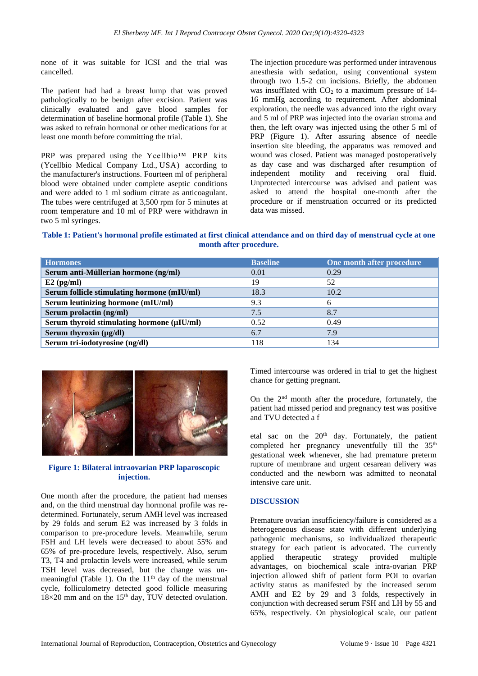none of it was suitable for ICSI and the trial was cancelled.

The patient had had a breast lump that was proved pathologically to be benign after excision. Patient was clinically evaluated and gave blood samples for determination of baseline hormonal profile (Table 1). She was asked to refrain hormonal or other medications for at least one month before committing the trial.

PRP was prepared using the Ycellbio™ PRP kits (Ycellbio Medical Company Ltd., USA) according to the manufacturer's instructions. Fourteen ml of peripheral blood were obtained under complete aseptic conditions and were added to 1 ml sodium citrate as anticoagulant. The tubes were centrifuged at 3,500 rpm for 5 minutes at room temperature and 10 ml of PRP were withdrawn in two 5 ml syringes.

The injection procedure was performed under intravenous anesthesia with sedation, using conventional system through two 1.5-2 cm incisions. Briefly, the abdomen was insufflated with  $CO<sub>2</sub>$  to a maximum pressure of 14-16 mmHg according to requirement. After abdominal exploration, the needle was advanced into the right ovary and 5 ml of PRP was injected into the ovarian stroma and then, the left ovary was injected using the other 5 ml of PRP (Figure 1). After assuring absence of needle insertion site bleeding, the apparatus was removed and wound was closed. Patient was managed postoperatively as day case and was discharged after resumption of independent motility and receiving oral fluid. Unprotected intercourse was advised and patient was asked to attend the hospital one-month after the procedure or if menstruation occurred or its predicted data was missed.

**Table 1: Patient's hormonal profile estimated at first clinical attendance and on third day of menstrual cycle at one month after procedure.**

| <b>Hormones</b>                             | <b>Baseline</b> | One month after procedure |
|---------------------------------------------|-----------------|---------------------------|
| Serum anti-Müllerian hormone (ng/ml)        | 0.01            | 0.29                      |
| $E2$ (pg/ml)                                | 19              | 52                        |
| Serum follicle stimulating hormone (mIU/ml) | 18.3            | 10.2                      |
| Serum leutinizing hormone (mIU/ml)          | 9.3             | 6                         |
| Serum prolactin (ng/ml)                     | 7.5             | 8.7                       |
| Serum thyroid stimulating hormone (µIU/ml)  | 0.52            | 0.49                      |
| Serum thyroxin $(\mu g/dl)$                 | 6.7             | 7.9                       |
| Serum tri-iodotyrosine (ng/dl)              | 118             | 134                       |



#### **Figure 1: Bilateral intraovarian PRP laparoscopic injection.**

One month after the procedure, the patient had menses and, on the third menstrual day hormonal profile was redetermined. Fortunately, serum AMH level was increased by 29 folds and serum E2 was increased by 3 folds in comparison to pre-procedure levels. Meanwhile, serum FSH and LH levels were decreased to about 55% and 65% of pre-procedure levels, respectively. Also, serum T3, T4 and prolactin levels were increased, while serum TSH level was decreased, but the change was unmeaningful (Table 1). On the  $11<sup>th</sup>$  day of the menstrual cycle, folliculometry detected good follicle measuring  $18\times20$  mm and on the 15<sup>th</sup> day, TUV detected ovulation. Timed intercourse was ordered in trial to get the highest chance for getting pregnant.

On the 2nd month after the procedure, fortunately, the patient had missed period and pregnancy test was positive and TVU detected a f

etal sac on the  $20<sup>th</sup>$  day. Fortunately, the patient completed her pregnancy uneventfully till the 35<sup>th</sup> gestational week whenever, she had premature preterm rupture of membrane and urgent cesarean delivery was conducted and the newborn was admitted to neonatal intensive care unit.

# **DISCUSSION**

Premature ovarian insufficiency/failure is considered as a heterogeneous disease state with different underlying pathogenic mechanisms, so individualized therapeutic strategy for each patient is advocated. The currently applied therapeutic strategy provided multiple advantages, on biochemical scale intra-ovarian PRP injection allowed shift of patient form POI to ovarian activity status as manifested by the increased serum AMH and E2 by 29 and 3 folds, respectively in conjunction with decreased serum FSH and LH by 55 and 65%, respectively. On physiological scale, our patient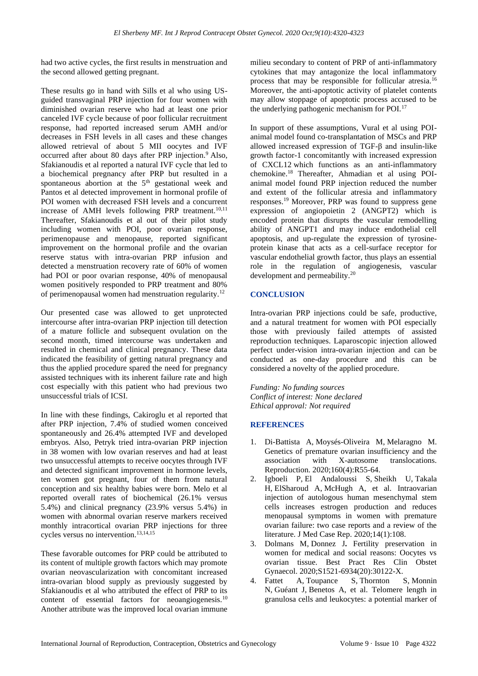had two active cycles, the first results in menstruation and the second allowed getting pregnant.

These results go in hand with Sills et al who using USguided transvaginal PRP injection for four women with diminished ovarian reserve who had at least one prior canceled IVF cycle because of poor follicular recruitment response, had reported increased serum AMH and/or decreases in FSH levels in all cases and these changes allowed retrieval of about 5 MII oocytes and IVF occurred after about 80 days after PRP injection.<sup>9</sup> Also, Sfakianoudis et al reported a natural IVF cycle that led to a biochemical pregnancy after PRP but resulted in a spontaneous abortion at the 5<sup>th</sup> gestational week and Pantos et al detected improvement in hormonal profile of POI women with decreased FSH levels and a concurrent increase of AMH levels following PRP treatment.<sup>10,11</sup> Thereafter, Sfakianoudis et al out of their pilot study including women with POI, poor ovarian response, perimenopause and menopause, reported significant improvement on the hormonal profile and the ovarian reserve status with intra-ovarian PRP infusion and detected a menstruation recovery rate of 60% of women had POI or poor ovarian response, 40% of menopausal women positively responded to PRP treatment and 80% of perimenopausal women had menstruation regularity.<sup>12</sup>

Our presented case was allowed to get unprotected intercourse after intra-ovarian PRP injection till detection of a mature follicle and subsequent ovulation on the second month, timed intercourse was undertaken and resulted in chemical and clinical pregnancy. These data indicated the feasibility of getting natural pregnancy and thus the applied procedure spared the need for pregnancy assisted techniques with its inherent failure rate and high cost especially with this patient who had previous two unsuccessful trials of ICSI.

In line with these findings, Cakiroglu et al reported that after PRP injection, 7.4% of studied women conceived spontaneously and 26.4% attempted IVF and developed embryos. Also, Petryk tried intra-ovarian PRP injection in 38 women with low ovarian reserves and had at least two unsuccessful attempts to receive oocytes through IVF and detected significant improvement in hormone levels, ten women got pregnant, four of them from natural conception and six healthy babies were born. Melo et al reported overall rates of biochemical (26.1% versus 5.4%) and clinical pregnancy (23.9% versus 5.4%) in women with abnormal ovarian reserve markers received monthly intracortical ovarian PRP injections for three cycles versus no intervention.13,14,15

These favorable outcomes for PRP could be attributed to its content of multiple growth factors which may promote ovarian neovascularization with concomitant increased intra-ovarian blood supply as previously suggested by Sfakianoudis et al who attributed the effect of PRP to its content of essential factors for neoangiogenesis.<sup>10</sup> Another attribute was the improved local ovarian immune milieu secondary to content of PRP of anti-inflammatory cytokines that may antagonize the local inflammatory process that may be responsible for follicular atresia.<sup>16</sup> Moreover, the anti-apoptotic activity of platelet contents may allow stoppage of apoptotic process accused to be the underlying pathogenic mechanism for POI.<sup>17</sup>

In support of these assumptions, Vural et al using POIanimal model found co-transplantation of MSCs and PRP allowed increased expression of TGF-β and insulin-like growth factor-1 concomitantly with increased expression of CXCL12 which functions as an anti-inflammatory chemokine.<sup>18</sup> Thereafter, Ahmadian et al using POIanimal model found PRP injection reduced the number and extent of the follicular atresia and inflammatory responses.<sup>19</sup> Moreover, PRP was found to suppress gene expression of angiopoietin 2 (ANGPT2) which is encoded protein that disrupts the vascular remodelling ability of ANGPT1 and may induce endothelial cell apoptosis, and up-regulate the expression of tyrosineprotein kinase that acts as a cell-surface receptor for vascular endothelial growth factor, thus plays an essential role in the regulation of angiogenesis, vascular development and permeability. $20$ 

# **CONCLUSION**

Intra-ovarian PRP injections could be safe, productive, and a natural treatment for women with POI especially those with previously failed attempts of assisted reproduction techniques. Laparoscopic injection allowed perfect under-vision intra-ovarian injection and can be conducted as one-day procedure and this can be considered a novelty of the applied procedure.

*Funding: No funding sources Conflict of interest: None declared Ethical approval: Not required*

# **REFERENCES**

- 1. Di-Battista A, Moysés-Oliveira M, Melaragno M. Genetics of premature ovarian insufficiency and the association with X-autosome translocations. Reproduction. 2020;160(4):R55-64.
- 2. Igboeli P, El Andaloussi S, Sheikh U, Takala H, ElSharoud A, McHugh A, et al. Intraovarian injection of autologous human mesenchymal stem cells increases estrogen production and reduces menopausal symptoms in women with premature ovarian failure: two case reports and a review of the literature. J Med Case Rep. 2020;14(1):108.
- 3. Dolmans M, Donnez J**.** Fertility preservation in women for medical and social reasons: Oocytes vs ovarian tissue. Best Pract Res Clin Obstet Gynaecol. 2020; S1521-6934(20): 30122-X.<br>4. Fattet A, Toupance S, Thornton
- A, Toupance S, Thornton S, Monnin N, Guéant J, Benetos A, et al. Telomere length in granulosa cells and leukocytes: a potential marker of